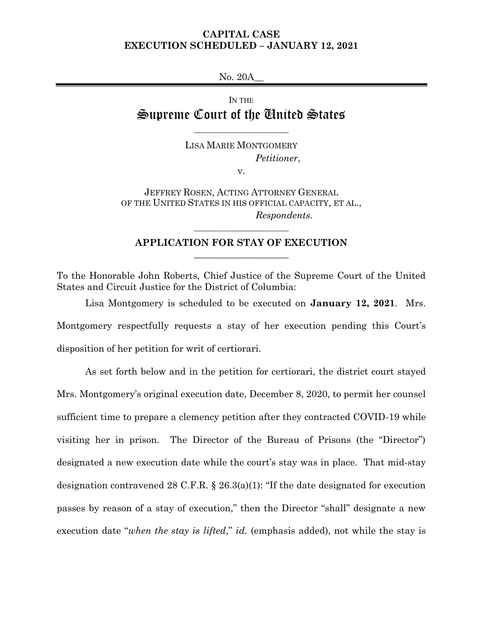# **CAPITAL CASE EXECUTION SCHEDULED – JANUARY 12, 2021**

No. 20A\_\_

IN THE Supreme Court of the United States

 $\overline{\phantom{a}}$  . The set of the set of the set of the set of the set of the set of the set of the set of the set of the set of the set of the set of the set of the set of the set of the set of the set of the set of the set o

LISA MARIE MONTGOMERY *Petitioner*,

v.

JEFFREY ROSEN, ACTING ATTORNEY GENERAL OF THE UNITED STATES IN HIS OFFICIAL CAPACITY, ET AL., *Respondents.*

# **APPLICATION FOR STAY OF EXECUTION**  $\_$

 $\mathcal{L}_\text{max}$  , where  $\mathcal{L}_\text{max}$ 

To the Honorable John Roberts, Chief Justice of the Supreme Court of the United States and Circuit Justice for the District of Columbia:

Lisa Montgomery is scheduled to be executed on **January 12, 2021**. Mrs. Montgomery respectfully requests a stay of her execution pending this Court's disposition of her petition for writ of certiorari.

As set forth below and in the petition for certiorari, the district court stayed Mrs. Montgomery's original execution date, December 8, 2020, to permit her counsel sufficient time to prepare a clemency petition after they contracted COVID-19 while visiting her in prison. The Director of the Bureau of Prisons (the "Director") designated a new execution date while the court's stay was in place. That mid-stay designation contravened 28 C.F.R. § 26.3(a)(1): "If the date designated for execution passes by reason of a stay of execution," then the Director "shall" designate a new execution date "*when the stay is lifted*," *id.* (emphasis added), not while the stay is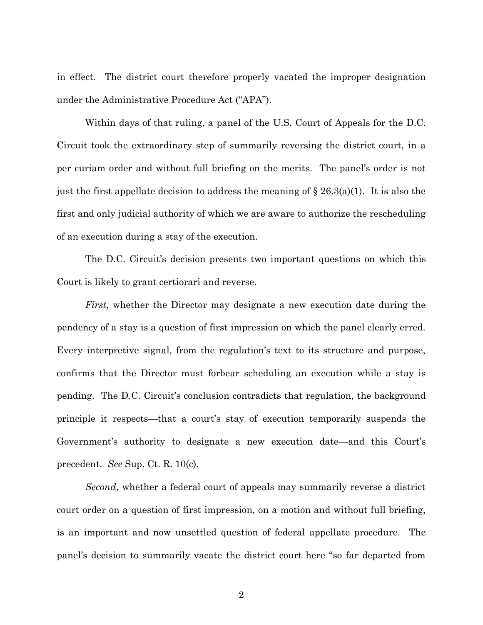in effect. The district court therefore properly vacated the improper designation under the Administrative Procedure Act ("APA").

Within days of that ruling, a panel of the U.S. Court of Appeals for the D.C. Circuit took the extraordinary step of summarily reversing the district court, in a per curiam order and without full briefing on the merits. The panel's order is not just the first appellate decision to address the meaning of  $\S 26.3(a)(1)$ . It is also the first and only judicial authority of which we are aware to authorize the rescheduling of an execution during a stay of the execution.

The D.C. Circuit's decision presents two important questions on which this Court is likely to grant certiorari and reverse.

*First*, whether the Director may designate a new execution date during the pendency of a stay is a question of first impression on which the panel clearly erred. Every interpretive signal, from the regulation's text to its structure and purpose, confirms that the Director must forbear scheduling an execution while a stay is pending. The D.C. Circuit's conclusion contradicts that regulation, the background principle it respects—that a court's stay of execution temporarily suspends the Government's authority to designate a new execution date—and this Court's precedent. *See* Sup. Ct. R. 10(c).

*Second*, whether a federal court of appeals may summarily reverse a district court order on a question of first impression, on a motion and without full briefing, is an important and now unsettled question of federal appellate procedure. The panel's decision to summarily vacate the district court here "so far departed from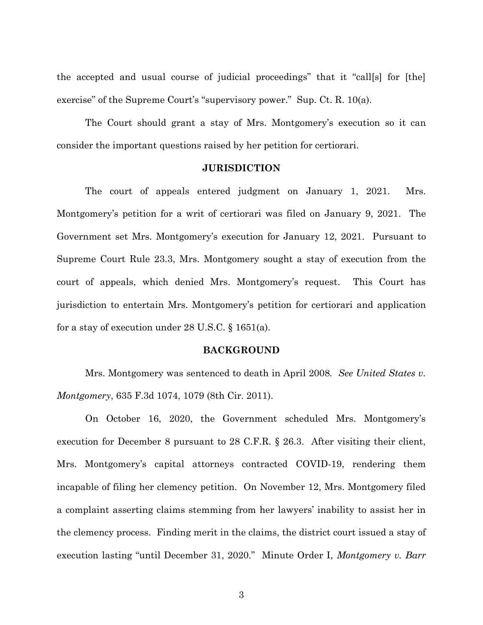the accepted and usual course of judicial proceedings" that it "call[s] for [the] exercise" of the Supreme Court's "supervisory power." Sup. Ct. R. 10(a).

The Court should grant a stay of Mrs. Montgomery's execution so it can consider the important questions raised by her petition for certiorari.

#### **JURISDICTION**

The court of appeals entered judgment on January 1, 2021. Mrs. Montgomery's petition for a writ of certiorari was filed on January 9, 2021. The Government set Mrs. Montgomery's execution for January 12, 2021. Pursuant to Supreme Court Rule 23.3, Mrs. Montgomery sought a stay of execution from the court of appeals, which denied Mrs. Montgomery's request. This Court has jurisdiction to entertain Mrs. Montgomery's petition for certiorari and application for a stay of execution under 28 U.S.C.  $\S$  1651(a).

### **BACKGROUND**

Mrs. Montgomery was sentenced to death in April 2008*. See United States v. Montgomery*, 635 F.3d 1074, 1079 (8th Cir. 2011).

On October 16, 2020, the Government scheduled Mrs. Montgomery's execution for December 8 pursuant to 28 C.F.R. § 26.3. After visiting their client, Mrs. Montgomery's capital attorneys contracted COVID-19, rendering them incapable of filing her clemency petition. On November 12, Mrs. Montgomery filed a complaint asserting claims stemming from her lawyers' inability to assist her in the clemency process. Finding merit in the claims, the district court issued a stay of execution lasting "until December 31, 2020." Minute Order I, *Montgomery v. Barr*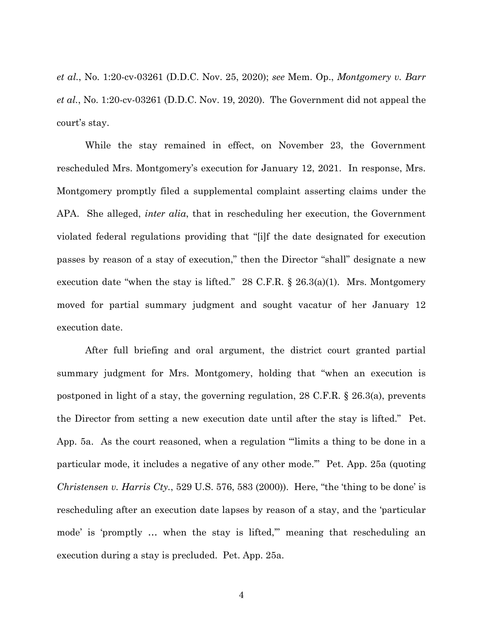*et al.*, No. 1:20-cv-03261 (D.D.C. Nov. 25, 2020); *see* Mem. Op., *Montgomery v. Barr et al.*, No. 1:20-cv-03261 (D.D.C. Nov. 19, 2020). The Government did not appeal the court's stay.

While the stay remained in effect, on November 23, the Government rescheduled Mrs. Montgomery's execution for January 12, 2021. In response, Mrs. Montgomery promptly filed a supplemental complaint asserting claims under the APA. She alleged, *inter alia*, that in rescheduling her execution, the Government violated federal regulations providing that "[i]f the date designated for execution passes by reason of a stay of execution," then the Director "shall" designate a new execution date "when the stay is lifted." 28 C.F.R.  $\S$  26.3(a)(1). Mrs. Montgomery moved for partial summary judgment and sought vacatur of her January 12 execution date.

After full briefing and oral argument, the district court granted partial summary judgment for Mrs. Montgomery, holding that "when an execution is postponed in light of a stay, the governing regulation, 28 C.F.R. § 26.3(a), prevents the Director from setting a new execution date until after the stay is lifted." Pet. App. 5a. As the court reasoned, when a regulation "'limits a thing to be done in a particular mode, it includes a negative of any other mode.'" Pet. App. 25a (quoting *Christensen v. Harris Cty.*, 529 U.S. 576, 583 (2000)). Here, "the 'thing to be done' is rescheduling after an execution date lapses by reason of a stay, and the 'particular mode' is 'promptly ... when the stay is lifted," meaning that rescheduling an execution during a stay is precluded. Pet. App. 25a.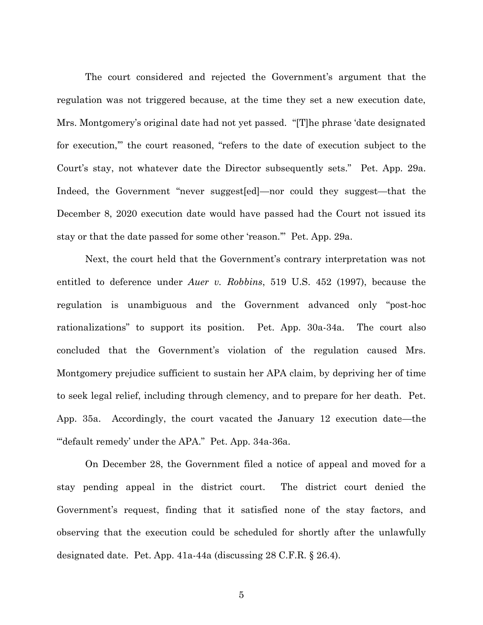The court considered and rejected the Government's argument that the regulation was not triggered because, at the time they set a new execution date, Mrs. Montgomery's original date had not yet passed. "[T]he phrase 'date designated for execution,'" the court reasoned, "refers to the date of execution subject to the Court's stay, not whatever date the Director subsequently sets." Pet. App. 29a. Indeed, the Government "never suggest[ed]—nor could they suggest—that the December 8, 2020 execution date would have passed had the Court not issued its stay or that the date passed for some other 'reason.'" Pet. App. 29a.

Next, the court held that the Government's contrary interpretation was not entitled to deference under *Auer v. Robbins*, 519 U.S. 452 (1997), because the regulation is unambiguous and the Government advanced only "post-hoc rationalizations" to support its position. Pet. App. 30a-34a. The court also concluded that the Government's violation of the regulation caused Mrs. Montgomery prejudice sufficient to sustain her APA claim, by depriving her of time to seek legal relief, including through clemency, and to prepare for her death. Pet. App. 35a. Accordingly, the court vacated the January 12 execution date—the ""default remedy' under the APA." Pet. App. 34a-36a.

On December 28, the Government filed a notice of appeal and moved for a stay pending appeal in the district court. The district court denied the Government's request, finding that it satisfied none of the stay factors, and observing that the execution could be scheduled for shortly after the unlawfully designated date. Pet. App. 41a-44a (discussing 28 C.F.R. § 26.4).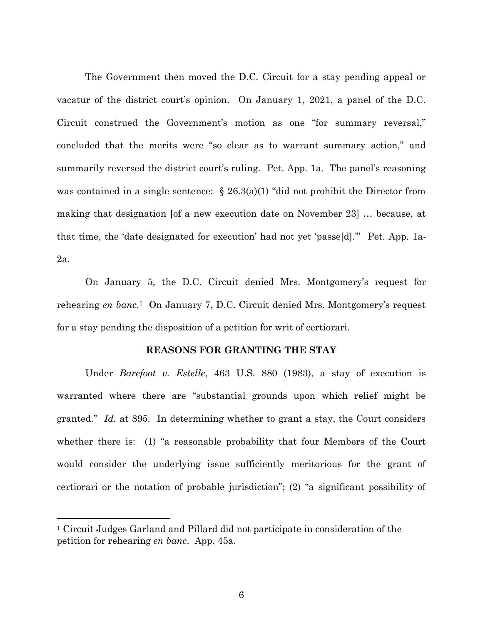The Government then moved the D.C. Circuit for a stay pending appeal or vacatur of the district court's opinion. On January 1, 2021, a panel of the D.C. Circuit construed the Government's motion as one "for summary reversal," concluded that the merits were "so clear as to warrant summary action," and summarily reversed the district court's ruling. Pet. App. 1a. The panel's reasoning was contained in a single sentence:  $\S 26.3(a)(1)$  "did not prohibit the Director from making that designation [of a new execution date on November 23] … because, at that time, the 'date designated for execution' had not yet 'passe[d].'" Pet. App. 1a-2a.

On January 5, the D.C. Circuit denied Mrs. Montgomery's request for rehearing *en banc*. <sup>1</sup> On January 7, D.C. Circuit denied Mrs. Montgomery's request for a stay pending the disposition of a petition for writ of certiorari.

### **REASONS FOR GRANTING THE STAY**

Under *Barefoot v. Estelle*, 463 U.S. 880 (1983), a stay of execution is warranted where there are "substantial grounds upon which relief might be granted." *Id.* at 895. In determining whether to grant a stay, the Court considers whether there is: (1) "a reasonable probability that four Members of the Court would consider the underlying issue sufficiently meritorious for the grant of certiorari or the notation of probable jurisdiction"; (2) "a significant possibility of

 $\overline{a}$ 

<sup>1</sup> Circuit Judges Garland and Pillard did not participate in consideration of the petition for rehearing *en banc*. App. 45a.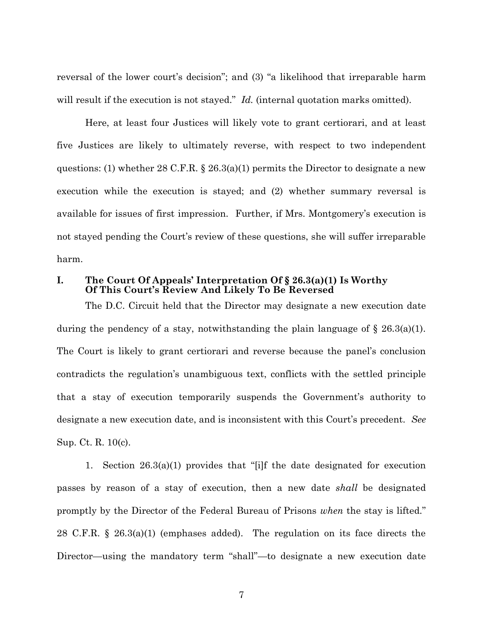reversal of the lower court's decision"; and (3) "a likelihood that irreparable harm will result if the execution is not stayed." *Id.* (internal quotation marks omitted).

Here, at least four Justices will likely vote to grant certiorari, and at least five Justices are likely to ultimately reverse, with respect to two independent questions: (1) whether 28 C.F.R. § 26.3(a)(1) permits the Director to designate a new execution while the execution is stayed; and (2) whether summary reversal is available for issues of first impression. Further, if Mrs. Montgomery's execution is not stayed pending the Court's review of these questions, she will suffer irreparable harm.

## **I. The Court Of Appeals' Interpretation Of § 26.3(a)(1) Is Worthy Of This Court's Review And Likely To Be Reversed**

The D.C. Circuit held that the Director may designate a new execution date during the pendency of a stay, notwithstanding the plain language of  $\S 26.3(a)(1)$ . The Court is likely to grant certiorari and reverse because the panel's conclusion contradicts the regulation's unambiguous text, conflicts with the settled principle that a stay of execution temporarily suspends the Government's authority to designate a new execution date, and is inconsistent with this Court's precedent. *See* Sup. Ct. R. 10(c).

1. Section 26.3(a)(1) provides that "[i]f the date designated for execution passes by reason of a stay of execution, then a new date *shall* be designated promptly by the Director of the Federal Bureau of Prisons *when* the stay is lifted." 28 C.F.R. § 26.3(a)(1) (emphases added). The regulation on its face directs the Director—using the mandatory term "shall"—to designate a new execution date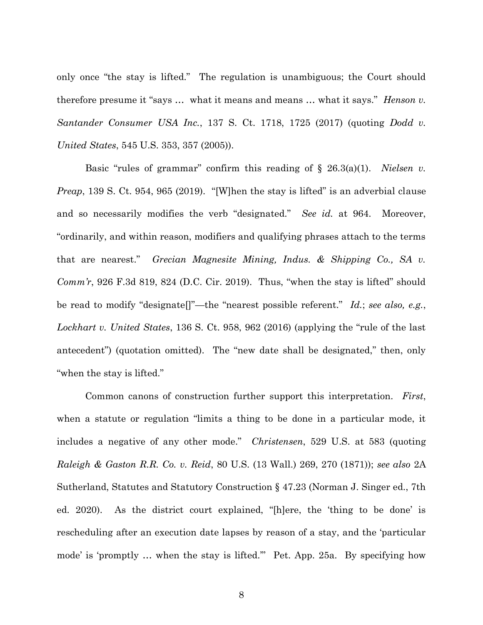only once "the stay is lifted." The regulation is unambiguous; the Court should therefore presume it "says … what it means and means … what it says." *Henson v. Santander Consumer USA Inc.*, 137 S. Ct. 1718, 1725 (2017) (quoting *Dodd v. United States*, 545 U.S. 353, 357 (2005)).

Basic "rules of grammar" confirm this reading of § 26.3(a)(1). *Nielsen v. Preap*, 139 S. Ct. 954, 965 (2019). "[W]hen the stay is lifted" is an adverbial clause and so necessarily modifies the verb "designated." *See id.* at 964. Moreover, "ordinarily, and within reason, modifiers and qualifying phrases attach to the terms that are nearest." *Grecian Magnesite Mining, Indus. & Shipping Co., SA v. Comm'r*, 926 F.3d 819, 824 (D.C. Cir. 2019). Thus, "when the stay is lifted" should be read to modify "designate[]"—the "nearest possible referent." *Id.*; *see also, e.g.*, *Lockhart v. United States*, 136 S. Ct. 958, 962 (2016) (applying the "rule of the last antecedent") (quotation omitted). The "new date shall be designated," then, only "when the stay is lifted."

Common canons of construction further support this interpretation. *First*, when a statute or regulation "limits a thing to be done in a particular mode, it includes a negative of any other mode." *Christensen*, 529 U.S. at 583 (quoting *Raleigh & Gaston R.R. Co. v. Reid*, 80 U.S. (13 Wall.) 269, 270 (1871)); *see also* 2A Sutherland, Statutes and Statutory Construction § 47.23 (Norman J. Singer ed., 7th ed. 2020). As the district court explained, "[h]ere, the 'thing to be done' is rescheduling after an execution date lapses by reason of a stay, and the 'particular mode' is 'promptly … when the stay is lifted.'" Pet. App. 25a. By specifying how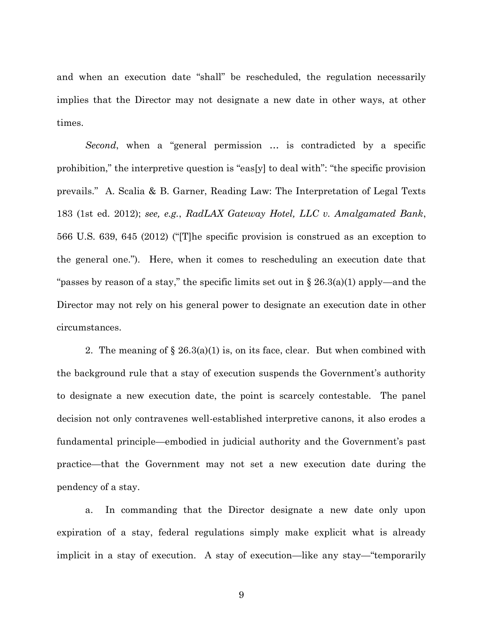and when an execution date "shall" be rescheduled, the regulation necessarily implies that the Director may not designate a new date in other ways, at other times.

*Second*, when a "general permission … is contradicted by a specific prohibition," the interpretive question is "eas[y] to deal with": "the specific provision prevails." A. Scalia & B. Garner, Reading Law: The Interpretation of Legal Texts 183 (1st ed. 2012); *see, e.g.*, *RadLAX Gateway Hotel, LLC v. Amalgamated Bank*, 566 U.S. 639, 645 (2012) ("[T]he specific provision is construed as an exception to the general one."). Here, when it comes to rescheduling an execution date that "passes by reason of a stay," the specific limits set out in  $\S 26.3(a)(1)$  apply—and the Director may not rely on his general power to designate an execution date in other circumstances.

2. The meaning of  $\S 26.3(a)(1)$  is, on its face, clear. But when combined with the background rule that a stay of execution suspends the Government's authority to designate a new execution date, the point is scarcely contestable. The panel decision not only contravenes well-established interpretive canons, it also erodes a fundamental principle—embodied in judicial authority and the Government's past practice—that the Government may not set a new execution date during the pendency of a stay.

a. In commanding that the Director designate a new date only upon expiration of a stay, federal regulations simply make explicit what is already implicit in a stay of execution. A stay of execution—like any stay—"temporarily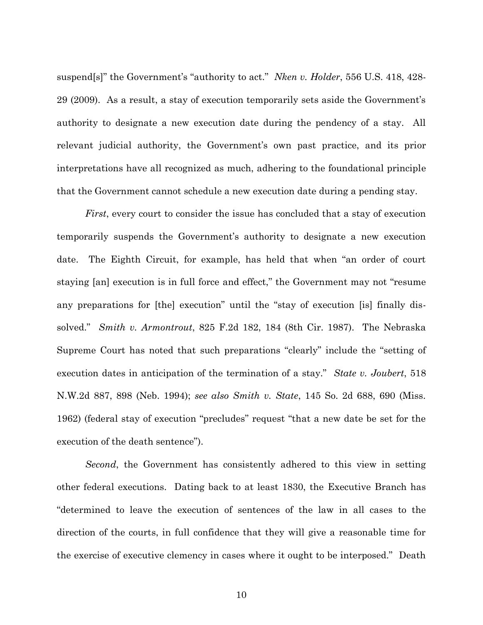suspend[s]" the Government's "authority to act." *Nken v. Holder*, 556 U.S. 418, 428- 29 (2009). As a result, a stay of execution temporarily sets aside the Government's authority to designate a new execution date during the pendency of a stay. All relevant judicial authority, the Government's own past practice, and its prior interpretations have all recognized as much, adhering to the foundational principle that the Government cannot schedule a new execution date during a pending stay.

*First*, every court to consider the issue has concluded that a stay of execution temporarily suspends the Government's authority to designate a new execution date. The Eighth Circuit, for example, has held that when "an order of court staying [an] execution is in full force and effect," the Government may not "resume any preparations for [the] execution" until the "stay of execution [is] finally dissolved." *Smith v. Armontrout*, 825 F.2d 182, 184 (8th Cir. 1987). The Nebraska Supreme Court has noted that such preparations "clearly" include the "setting of execution dates in anticipation of the termination of a stay." *State v. Joubert*, 518 N.W.2d 887, 898 (Neb. 1994); *see also Smith v. State*, 145 So. 2d 688, 690 (Miss. 1962) (federal stay of execution "precludes" request "that a new date be set for the execution of the death sentence").

*Second*, the Government has consistently adhered to this view in setting other federal executions. Dating back to at least 1830, the Executive Branch has "determined to leave the execution of sentences of the law in all cases to the direction of the courts, in full confidence that they will give a reasonable time for the exercise of executive clemency in cases where it ought to be interposed." Death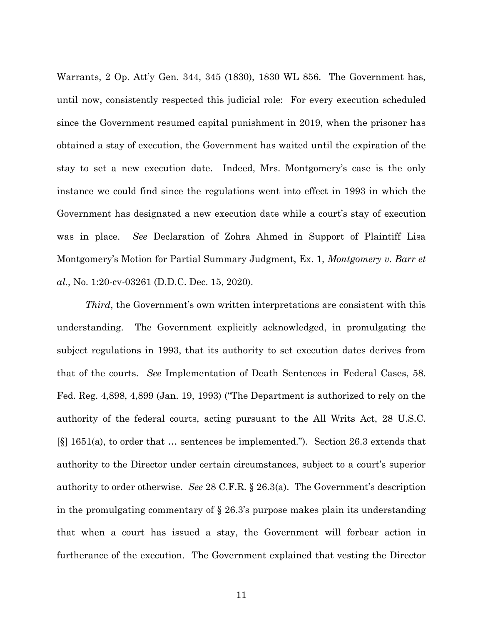Warrants, 2 Op. Att'y Gen. 344, 345 (1830), 1830 WL 856. The Government has, until now, consistently respected this judicial role: For every execution scheduled since the Government resumed capital punishment in 2019, when the prisoner has obtained a stay of execution, the Government has waited until the expiration of the stay to set a new execution date. Indeed, Mrs. Montgomery's case is the only instance we could find since the regulations went into effect in 1993 in which the Government has designated a new execution date while a court's stay of execution was in place. *See* Declaration of Zohra Ahmed in Support of Plaintiff Lisa Montgomery's Motion for Partial Summary Judgment, Ex. 1, *Montgomery v. Barr et al.*, No. 1:20-cv-03261 (D.D.C. Dec. 15, 2020).

*Third*, the Government's own written interpretations are consistent with this understanding. The Government explicitly acknowledged, in promulgating the subject regulations in 1993, that its authority to set execution dates derives from that of the courts. *See* Implementation of Death Sentences in Federal Cases, 58. Fed. Reg. 4,898, 4,899 (Jan. 19, 1993) ("The Department is authorized to rely on the authority of the federal courts, acting pursuant to the All Writs Act, 28 U.S.C. [§] 1651(a), to order that … sentences be implemented."). Section 26.3 extends that authority to the Director under certain circumstances, subject to a court's superior authority to order otherwise. *See* 28 C.F.R. § 26.3(a). The Government's description in the promulgating commentary of § 26.3's purpose makes plain its understanding that when a court has issued a stay, the Government will forbear action in furtherance of the execution. The Government explained that vesting the Director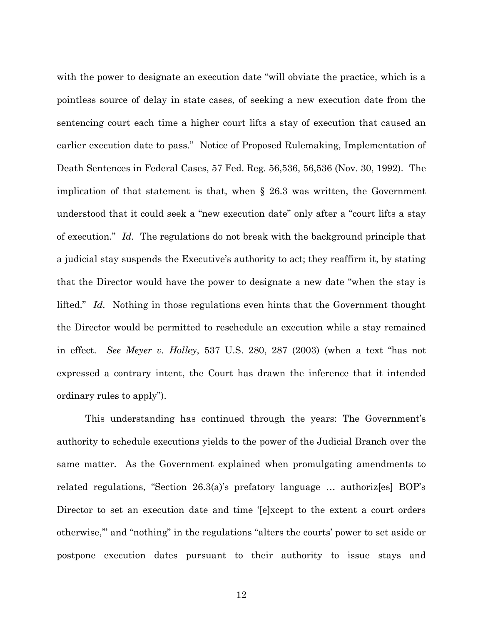with the power to designate an execution date "will obviate the practice, which is a pointless source of delay in state cases, of seeking a new execution date from the sentencing court each time a higher court lifts a stay of execution that caused an earlier execution date to pass." Notice of Proposed Rulemaking, Implementation of Death Sentences in Federal Cases, 57 Fed. Reg. 56,536, 56,536 (Nov. 30, 1992). The implication of that statement is that, when § 26.3 was written, the Government understood that it could seek a "new execution date" only after a "court lifts a stay of execution." *Id.* The regulations do not break with the background principle that a judicial stay suspends the Executive's authority to act; they reaffirm it, by stating that the Director would have the power to designate a new date "when the stay is lifted." *Id.* Nothing in those regulations even hints that the Government thought the Director would be permitted to reschedule an execution while a stay remained in effect. *See Meyer v. Holley*, 537 U.S. 280, 287 (2003) (when a text "has not expressed a contrary intent, the Court has drawn the inference that it intended ordinary rules to apply").

This understanding has continued through the years: The Government's authority to schedule executions yields to the power of the Judicial Branch over the same matter. As the Government explained when promulgating amendments to related regulations, "Section 26.3(a)'s prefatory language … authoriz[es] BOP's Director to set an execution date and time '[e]xcept to the extent a court orders otherwise,'" and "nothing" in the regulations "alters the courts' power to set aside or postpone execution dates pursuant to their authority to issue stays and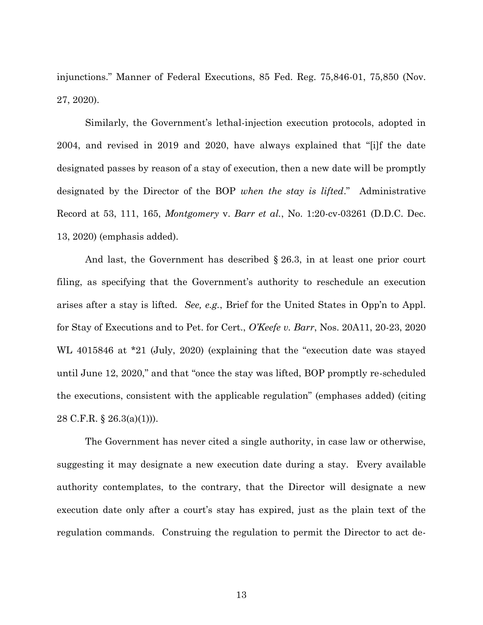injunctions." Manner of Federal Executions, 85 Fed. Reg. 75,846-01, 75,850 (Nov. 27, 2020).

Similarly, the Government's lethal-injection execution protocols, adopted in 2004, and revised in 2019 and 2020, have always explained that "[i]f the date designated passes by reason of a stay of execution, then a new date will be promptly designated by the Director of the BOP *when the stay is lifted*." Administrative Record at 53, 111, 165, *Montgomery* v. *Barr et al.*, No. 1:20-cv-03261 (D.D.C. Dec. 13, 2020) (emphasis added).

And last, the Government has described § 26.3, in at least one prior court filing, as specifying that the Government's authority to reschedule an execution arises after a stay is lifted. *See, e.g.*, Brief for the United States in Opp'n to Appl. for Stay of Executions and to Pet. for Cert., *O'Keefe v. Barr*, Nos. 20A11, 20-23, 2020 WL 4015846 at \*21 (July, 2020) (explaining that the "execution date was stayed until June 12, 2020," and that "once the stay was lifted, BOP promptly re-scheduled the executions, consistent with the applicable regulation" (emphases added) (citing 28 C.F.R. § 26.3(a)(1))).

The Government has never cited a single authority, in case law or otherwise, suggesting it may designate a new execution date during a stay. Every available authority contemplates, to the contrary, that the Director will designate a new execution date only after a court's stay has expired, just as the plain text of the regulation commands. Construing the regulation to permit the Director to act de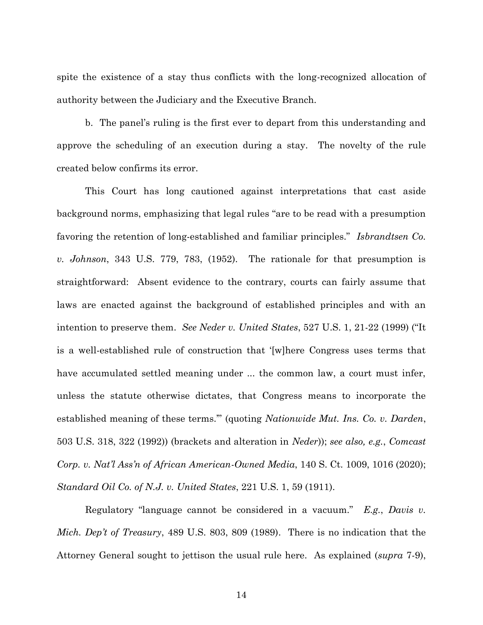spite the existence of a stay thus conflicts with the long-recognized allocation of authority between the Judiciary and the Executive Branch.

b. The panel's ruling is the first ever to depart from this understanding and approve the scheduling of an execution during a stay. The novelty of the rule created below confirms its error.

This Court has long cautioned against interpretations that cast aside background norms, emphasizing that legal rules "are to be read with a presumption favoring the retention of long-established and familiar principles." *Isbrandtsen Co. v. Johnson*, 343 U.S. 779, 783, (1952). The rationale for that presumption is straightforward: Absent evidence to the contrary, courts can fairly assume that laws are enacted against the background of established principles and with an intention to preserve them. *See Neder v. United States*, 527 U.S. 1, 21-22 (1999) ("It is a well-established rule of construction that '[w]here Congress uses terms that have accumulated settled meaning under ... the common law, a court must infer, unless the statute otherwise dictates, that Congress means to incorporate the established meaning of these terms.'" (quoting *Nationwide Mut. Ins. Co. v. Darden*, 503 U.S. 318, 322 (1992)) (brackets and alteration in *Neder*)); *see also, e.g.*, *Comcast Corp. v. Nat'l Ass'n of African American-Owned Media*, 140 S. Ct. 1009, 1016 (2020); *Standard Oil Co. of N.J. v. United States*, 221 U.S. 1, 59 (1911).

Regulatory "language cannot be considered in a vacuum." *E.g.*, *Davis v. Mich. Dep't of Treasury*, 489 U.S. 803, 809 (1989). There is no indication that the Attorney General sought to jettison the usual rule here. As explained (*supra* 7-9),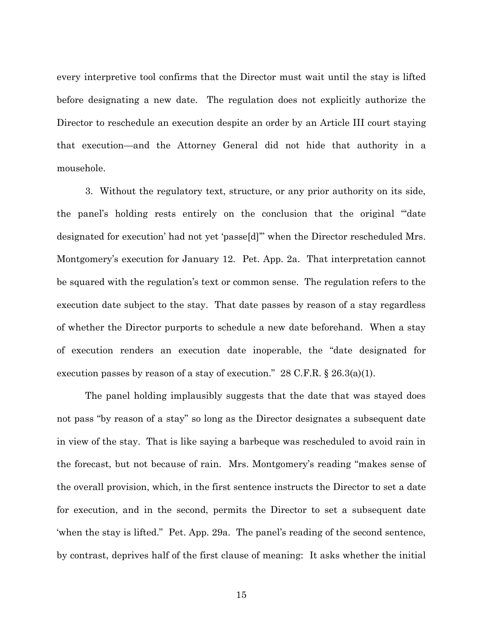every interpretive tool confirms that the Director must wait until the stay is lifted before designating a new date. The regulation does not explicitly authorize the Director to reschedule an execution despite an order by an Article III court staying that execution—and the Attorney General did not hide that authority in a mousehole.

3. Without the regulatory text, structure, or any prior authority on its side, the panel's holding rests entirely on the conclusion that the original "'date designated for execution' had not yet 'passe[d]'" when the Director rescheduled Mrs. Montgomery's execution for January 12. Pet. App. 2a. That interpretation cannot be squared with the regulation's text or common sense. The regulation refers to the execution date subject to the stay. That date passes by reason of a stay regardless of whether the Director purports to schedule a new date beforehand. When a stay of execution renders an execution date inoperable, the "date designated for execution passes by reason of a stay of execution."  $28$  C.F.R. §  $26.3(a)(1)$ .

The panel holding implausibly suggests that the date that was stayed does not pass "by reason of a stay" so long as the Director designates a subsequent date in view of the stay. That is like saying a barbeque was rescheduled to avoid rain in the forecast, but not because of rain. Mrs. Montgomery's reading "makes sense of the overall provision, which, in the first sentence instructs the Director to set a date for execution, and in the second, permits the Director to set a subsequent date 'when the stay is lifted." Pet. App. 29a. The panel's reading of the second sentence, by contrast, deprives half of the first clause of meaning: It asks whether the initial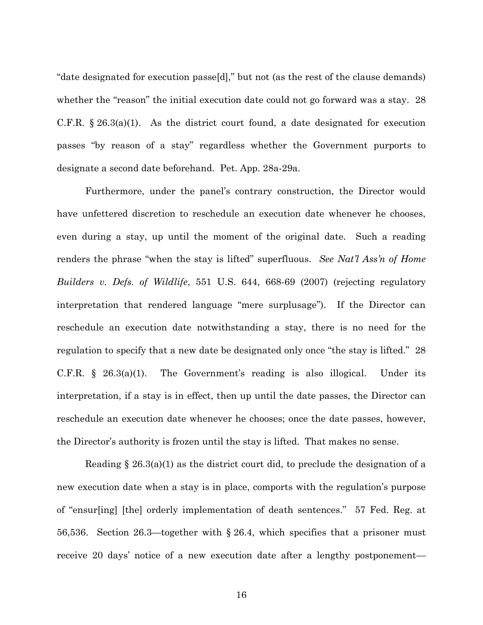"date designated for execution passe[d]," but not (as the rest of the clause demands) whether the "reason" the initial execution date could not go forward was a stay. 28 C.F.R.  $\S 26.3(a)(1)$ . As the district court found, a date designated for execution passes "by reason of a stay" regardless whether the Government purports to designate a second date beforehand. Pet. App. 28a-29a.

Furthermore, under the panel's contrary construction, the Director would have unfettered discretion to reschedule an execution date whenever he chooses, even during a stay, up until the moment of the original date. Such a reading renders the phrase "when the stay is lifted" superfluous. *See Nat'l Ass'n of Home Builders v. Defs. of Wildlife*, 551 U.S. 644, 668-69 (2007) (rejecting regulatory interpretation that rendered language "mere surplusage"). If the Director can reschedule an execution date notwithstanding a stay, there is no need for the regulation to specify that a new date be designated only once "the stay is lifted." 28 C.F.R. § 26.3(a)(1). The Government's reading is also illogical. Under its interpretation, if a stay is in effect, then up until the date passes, the Director can reschedule an execution date whenever he chooses; once the date passes, however, the Director's authority is frozen until the stay is lifted. That makes no sense.

Reading § 26.3(a)(1) as the district court did, to preclude the designation of a new execution date when a stay is in place, comports with the regulation's purpose of "ensur[ing] [the] orderly implementation of death sentences." 57 Fed. Reg. at 56,536. Section 26.3—together with § 26.4, which specifies that a prisoner must receive 20 days' notice of a new execution date after a lengthy postponement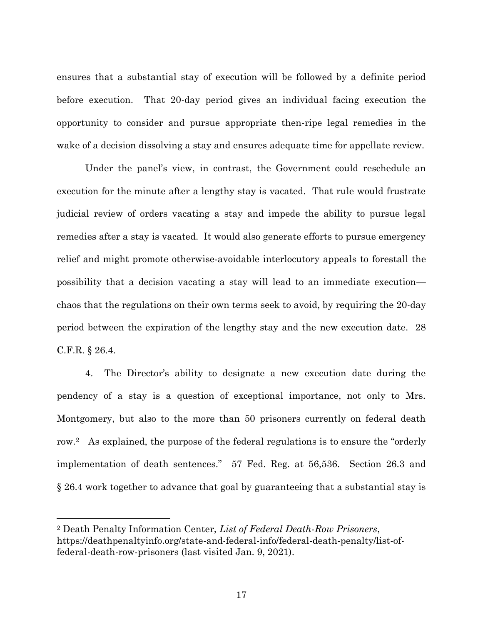ensures that a substantial stay of execution will be followed by a definite period before execution. That 20-day period gives an individual facing execution the opportunity to consider and pursue appropriate then-ripe legal remedies in the wake of a decision dissolving a stay and ensures adequate time for appellate review.

Under the panel's view, in contrast, the Government could reschedule an execution for the minute after a lengthy stay is vacated. That rule would frustrate judicial review of orders vacating a stay and impede the ability to pursue legal remedies after a stay is vacated. It would also generate efforts to pursue emergency relief and might promote otherwise-avoidable interlocutory appeals to forestall the possibility that a decision vacating a stay will lead to an immediate execution chaos that the regulations on their own terms seek to avoid, by requiring the 20-day period between the expiration of the lengthy stay and the new execution date. 28 C.F.R. § 26.4.

4. The Director's ability to designate a new execution date during the pendency of a stay is a question of exceptional importance, not only to Mrs. Montgomery, but also to the more than 50 prisoners currently on federal death row.2 As explained, the purpose of the federal regulations is to ensure the "orderly implementation of death sentences." 57 Fed. Reg. at 56,536. Section 26.3 and § 26.4 work together to advance that goal by guaranteeing that a substantial stay is

 $\overline{a}$ 

<sup>2</sup> Death Penalty Information Center, *List of Federal Death-Row Prisoners*, https://deathpenaltyinfo.org/state-and-federal-info/federal-death-penalty/list-offederal-death-row-prisoners (last visited Jan. 9, 2021).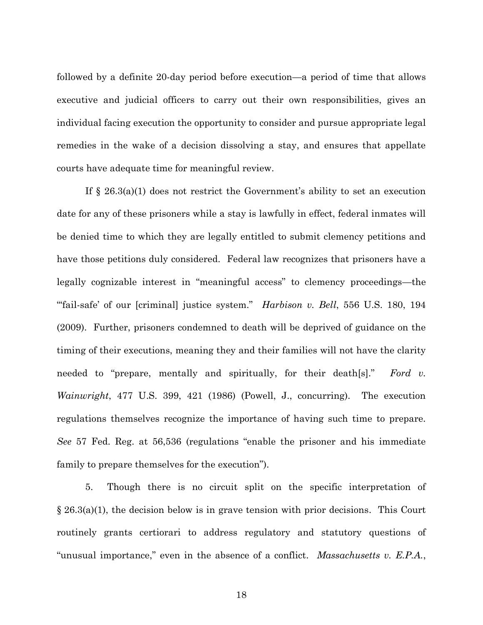followed by a definite 20-day period before execution—a period of time that allows executive and judicial officers to carry out their own responsibilities, gives an individual facing execution the opportunity to consider and pursue appropriate legal remedies in the wake of a decision dissolving a stay, and ensures that appellate courts have adequate time for meaningful review.

If § 26.3(a)(1) does not restrict the Government's ability to set an execution date for any of these prisoners while a stay is lawfully in effect, federal inmates will be denied time to which they are legally entitled to submit clemency petitions and have those petitions duly considered. Federal law recognizes that prisoners have a legally cognizable interest in "meaningful access" to clemency proceedings—the "'fail-safe' of our [criminal] justice system." *Harbison v. Bell*, 556 U.S. 180, 194 (2009). Further, prisoners condemned to death will be deprived of guidance on the timing of their executions, meaning they and their families will not have the clarity needed to "prepare, mentally and spiritually, for their death[s]." *Ford v. Wainwright*, 477 U.S. 399, 421 (1986) (Powell, J., concurring). The execution regulations themselves recognize the importance of having such time to prepare. *See* 57 Fed. Reg. at 56,536 (regulations "enable the prisoner and his immediate family to prepare themselves for the execution").

5. Though there is no circuit split on the specific interpretation of § 26.3(a)(1), the decision below is in grave tension with prior decisions. This Court routinely grants certiorari to address regulatory and statutory questions of "unusual importance," even in the absence of a conflict. *Massachusetts v. E.P.A.*,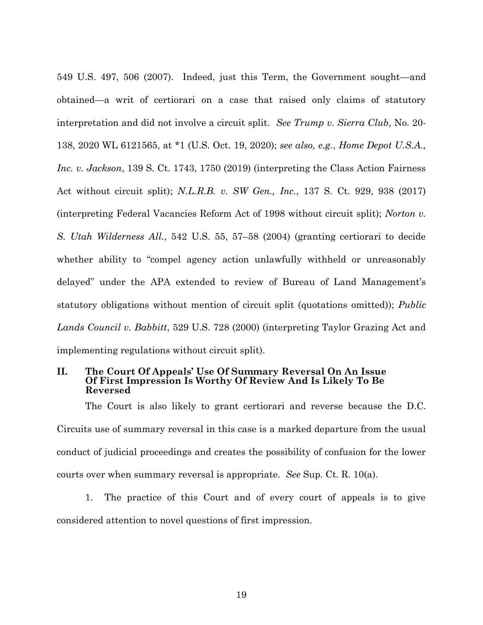549 U.S. 497, 506 (2007). Indeed, just this Term, the Government sought—and obtained—a writ of certiorari on a case that raised only claims of statutory interpretation and did not involve a circuit split. *See Trump v. Sierra Club*, No. 20- 138, 2020 WL 6121565, at \*1 (U.S. Oct. 19, 2020); *see also, e.g.*, *Home Depot U.S.A., Inc. v. Jackson*, 139 S. Ct. 1743, 1750 (2019) (interpreting the Class Action Fairness Act without circuit split); *N.L.R.B. v. SW Gen., Inc.*, 137 S. Ct. 929, 938 (2017) (interpreting Federal Vacancies Reform Act of 1998 without circuit split); *Norton v. S. Utah Wilderness All.*, 542 U.S. 55, 57–58 (2004) (granting certiorari to decide whether ability to "compel agency action unlawfully withheld or unreasonably delayed" under the APA extended to review of Bureau of Land Management's statutory obligations without mention of circuit split (quotations omitted)); *Public Lands Council v. Babbitt*, 529 U.S. 728 (2000) (interpreting Taylor Grazing Act and implementing regulations without circuit split).

## **II. The Court Of Appeals' Use Of Summary Reversal On An Issue Of First Impression Is Worthy Of Review And Is Likely To Be Reversed**

The Court is also likely to grant certiorari and reverse because the D.C. Circuits use of summary reversal in this case is a marked departure from the usual conduct of judicial proceedings and creates the possibility of confusion for the lower courts over when summary reversal is appropriate. *See* Sup. Ct. R. 10(a).

1. The practice of this Court and of every court of appeals is to give considered attention to novel questions of first impression.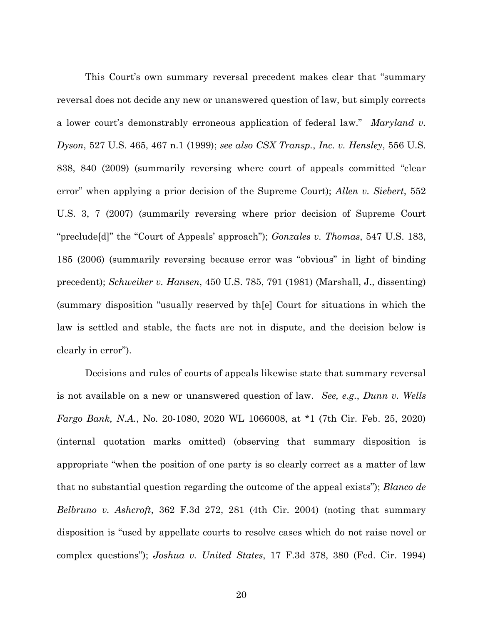This Court's own summary reversal precedent makes clear that "summary reversal does not decide any new or unanswered question of law, but simply corrects a lower court's demonstrably erroneous application of federal law." *Maryland v. Dyson*, 527 U.S. 465, 467 n.1 (1999); *see also CSX Transp.*, *Inc. v. Hensley*, 556 U.S. 838, 840 (2009) (summarily reversing where court of appeals committed "clear error" when applying a prior decision of the Supreme Court); *Allen v. Siebert*, 552 U.S. 3, 7 (2007) (summarily reversing where prior decision of Supreme Court "preclude[d]" the "Court of Appeals' approach"); *Gonzales v. Thomas*, 547 U.S. 183, 185 (2006) (summarily reversing because error was "obvious" in light of binding precedent); *Schweiker v. Hansen*, 450 U.S. 785, 791 (1981) (Marshall, J., dissenting) (summary disposition "usually reserved by th[e] Court for situations in which the law is settled and stable, the facts are not in dispute, and the decision below is clearly in error").

Decisions and rules of courts of appeals likewise state that summary reversal is not available on a new or unanswered question of law. *See, e.g.*, *Dunn v. Wells Fargo Bank, N.A.*, No. 20-1080, 2020 WL 1066008, at \*1 (7th Cir. Feb. 25, 2020) (internal quotation marks omitted) (observing that summary disposition is appropriate "when the position of one party is so clearly correct as a matter of law that no substantial question regarding the outcome of the appeal exists"); *Blanco de Belbruno v. Ashcroft*, 362 F.3d 272, 281 (4th Cir. 2004) (noting that summary disposition is "used by appellate courts to resolve cases which do not raise novel or complex questions"); *Joshua v. United States*, 17 F.3d 378, 380 (Fed. Cir. 1994)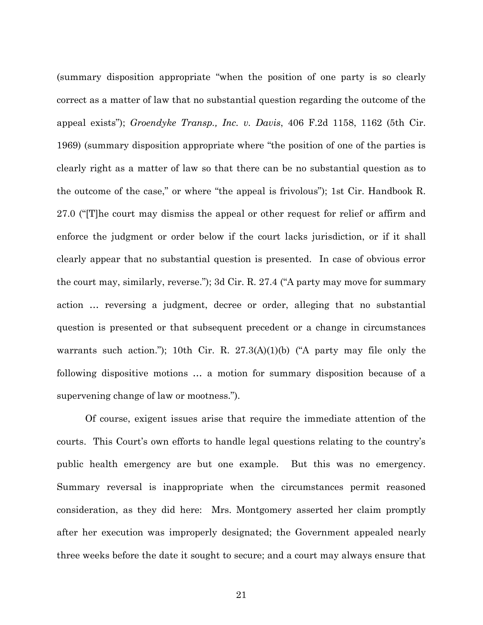(summary disposition appropriate "when the position of one party is so clearly correct as a matter of law that no substantial question regarding the outcome of the appeal exists"); *Groendyke Transp., Inc. v. Davis*, 406 F.2d 1158, 1162 (5th Cir. 1969) (summary disposition appropriate where "the position of one of the parties is clearly right as a matter of law so that there can be no substantial question as to the outcome of the case," or where "the appeal is frivolous"); 1st Cir. Handbook R. 27.0 ("[T]he court may dismiss the appeal or other request for relief or affirm and enforce the judgment or order below if the court lacks jurisdiction, or if it shall clearly appear that no substantial question is presented. In case of obvious error the court may, similarly, reverse."); 3d Cir. R. 27.4 ("A party may move for summary action … reversing a judgment, decree or order, alleging that no substantial question is presented or that subsequent precedent or a change in circumstances warrants such action."); 10th Cir. R.  $27.3(A)(1)(b)$  ("A party may file only the following dispositive motions … a motion for summary disposition because of a supervening change of law or mootness.").

Of course, exigent issues arise that require the immediate attention of the courts. This Court's own efforts to handle legal questions relating to the country's public health emergency are but one example. But this was no emergency. Summary reversal is inappropriate when the circumstances permit reasoned consideration, as they did here: Mrs. Montgomery asserted her claim promptly after her execution was improperly designated; the Government appealed nearly three weeks before the date it sought to secure; and a court may always ensure that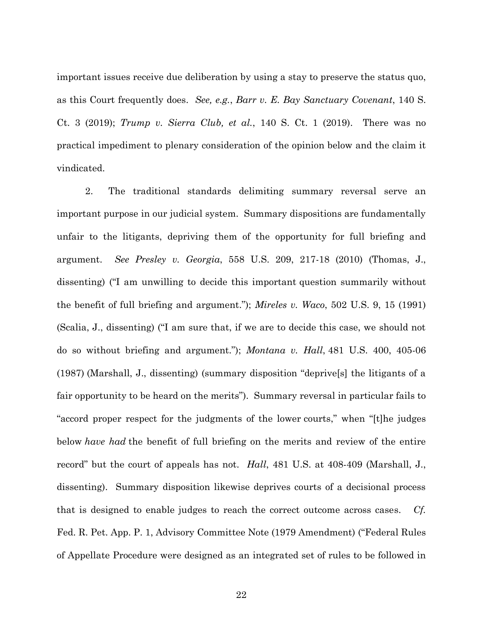important issues receive due deliberation by using a stay to preserve the status quo, as this Court frequently does. *See, e.g.*, *Barr v. E. Bay Sanctuary Covenant*, 140 S. Ct. 3 (2019); *Trump v. Sierra Club, et al.*, 140 S. Ct. 1 (2019). There was no practical impediment to plenary consideration of the opinion below and the claim it vindicated.

2. The traditional standards delimiting summary reversal serve an important purpose in our judicial system. Summary dispositions are fundamentally unfair to the litigants, depriving them of the opportunity for full briefing and argument. *See Presley v. Georgia*, 558 U.S. 209, 217-18 (2010) (Thomas, J., dissenting) ("I am unwilling to decide this important question summarily without the benefit of full briefing and argument."); *Mireles v. Waco*, 502 U.S. 9, 15 (1991) (Scalia, J., dissenting) ("I am sure that, if we are to decide this case, we should not do so without briefing and argument."); *Montana v. Hall*, 481 U.S. 400, 405-06 (1987) (Marshall, J., dissenting) (summary disposition "deprive[s] the litigants of a fair opportunity to be heard on the merits"). Summary reversal in particular fails to "accord proper respect for the judgments of the lower courts," when "[t]he judges below *have had* the benefit of full briefing on the merits and review of the entire record" but the court of appeals has not. *Hall*, 481 U.S. at 408-409 (Marshall, J., dissenting).Summary disposition likewise deprives courts of a decisional process that is designed to enable judges to reach the correct outcome across cases. *Cf.*  Fed. R. Pet. App. P. 1, Advisory Committee Note (1979 Amendment) ("Federal Rules of Appellate Procedure were designed as an integrated set of rules to be followed in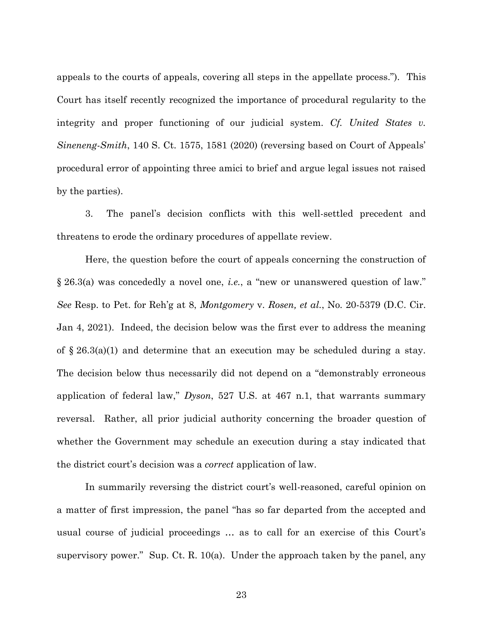appeals to the courts of appeals, covering all steps in the appellate process."). This Court has itself recently recognized the importance of procedural regularity to the integrity and proper functioning of our judicial system. *Cf. United States v. Sineneng-Smith*, 140 S. Ct. 1575, 1581 (2020) (reversing based on Court of Appeals' procedural error of appointing three amici to brief and argue legal issues not raised by the parties).

3. The panel's decision conflicts with this well-settled precedent and threatens to erode the ordinary procedures of appellate review.

Here, the question before the court of appeals concerning the construction of § 26.3(a) was concededly a novel one, *i.e.*, a "new or unanswered question of law." *See* Resp. to Pet. for Reh'g at 8, *Montgomery* v. *Rosen, et al.*, No. 20-5379 (D.C. Cir. Jan 4, 2021). Indeed, the decision below was the first ever to address the meaning of  $\S 26.3(a)(1)$  and determine that an execution may be scheduled during a stay. The decision below thus necessarily did not depend on a "demonstrably erroneous application of federal law," *Dyson*, 527 U.S. at 467 n.1, that warrants summary reversal. Rather, all prior judicial authority concerning the broader question of whether the Government may schedule an execution during a stay indicated that the district court's decision was a *correct* application of law.

In summarily reversing the district court's well-reasoned, careful opinion on a matter of first impression, the panel "has so far departed from the accepted and usual course of judicial proceedings … as to call for an exercise of this Court's supervisory power." Sup. Ct. R. 10(a). Under the approach taken by the panel, any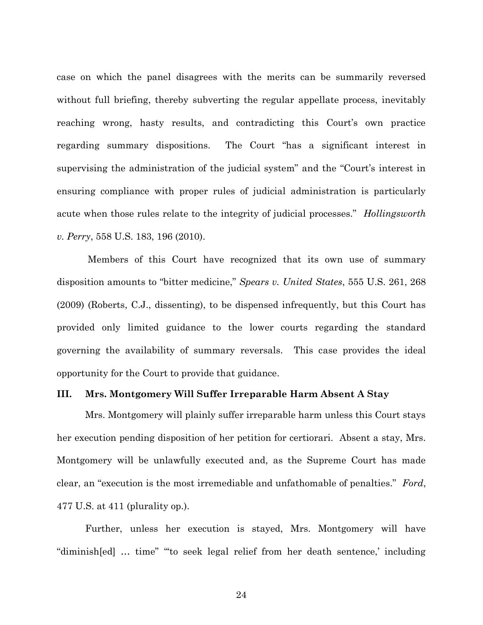case on which the panel disagrees with the merits can be summarily reversed without full briefing, thereby subverting the regular appellate process, inevitably reaching wrong, hasty results, and contradicting this Court's own practice regarding summary dispositions. The Court "has a significant interest in supervising the administration of the judicial system" and the "Court's interest in ensuring compliance with proper rules of judicial administration is particularly acute when those rules relate to the integrity of judicial processes." *Hollingsworth v. Perry*, 558 U.S. 183, 196 (2010).

Members of this Court have recognized that its own use of summary disposition amounts to "bitter medicine," *Spears v. United States*, 555 U.S. 261, 268 (2009) (Roberts, C.J., dissenting), to be dispensed infrequently, but this Court has provided only limited guidance to the lower courts regarding the standard governing the availability of summary reversals. This case provides the ideal opportunity for the Court to provide that guidance.

#### **III. Mrs. Montgomery Will Suffer Irreparable Harm Absent A Stay**

Mrs. Montgomery will plainly suffer irreparable harm unless this Court stays her execution pending disposition of her petition for certiorari. Absent a stay, Mrs. Montgomery will be unlawfully executed and, as the Supreme Court has made clear, an "execution is the most irremediable and unfathomable of penalties." *Ford*, 477 U.S. at 411 (plurality op.).

Further, unless her execution is stayed, Mrs. Montgomery will have "diminish[ed] … time" "'to seek legal relief from her death sentence,' including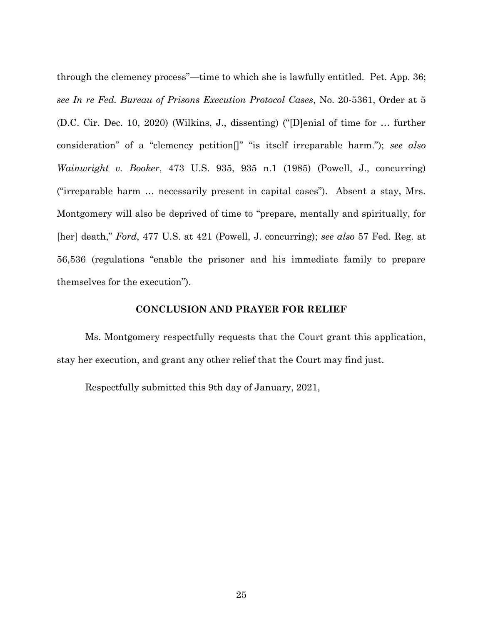through the clemency process"—time to which she is lawfully entitled. Pet. App. 36; *see In re Fed. Bureau of Prisons Execution Protocol Cases*, No. 20-5361, Order at 5 (D.C. Cir. Dec. 10, 2020) (Wilkins, J., dissenting) ("[D]enial of time for … further consideration" of a "clemency petition[]" "is itself irreparable harm."); *see also Wainwright v. Booker*, 473 U.S. 935, 935 n.1 (1985) (Powell, J., concurring) ("irreparable harm … necessarily present in capital cases"). Absent a stay, Mrs. Montgomery will also be deprived of time to "prepare, mentally and spiritually, for [her] death," *Ford*, 477 U.S. at 421 (Powell, J. concurring); *see also* 57 Fed. Reg. at 56,536 (regulations "enable the prisoner and his immediate family to prepare themselves for the execution").

## **CONCLUSION AND PRAYER FOR RELIEF**

Ms. Montgomery respectfully requests that the Court grant this application, stay her execution, and grant any other relief that the Court may find just.

Respectfully submitted this 9th day of January, 2021,